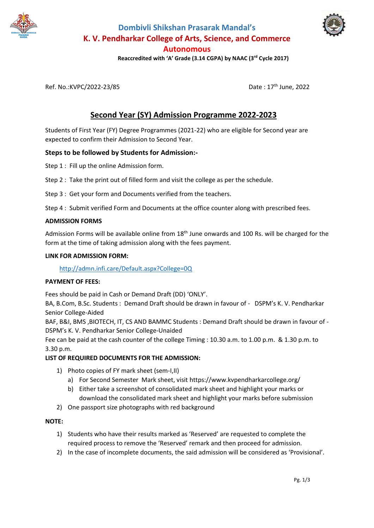

**Dombivli Shikshan Prasarak Mandal's K. V. Pendharkar College of Arts, Science, and Commerce Autonomous**



 **Reaccredited with 'A' Grade (3.14 CGPA) by NAAC (3rd Cycle 2017)**

Ref. No.:KVPC/2022-23/85 Date : 17th June, 2022

# **Second Year (SY) Admission Programme 2022-2023**

Students of First Year (FY) Degree Programmes (2021-22) who are eligible for Second year are expected to confirm their Admission to Second Year.

## **Steps to be followed by Students for Admission:-**

Step 1 : Fill up the online Admission form.

Step 2 : Take the print out of filled form and visit the college as per the schedule.

- Step 3 : Get your form and Documents verified from the teachers.
- Step 4 : Submit verified Form and Documents at the office counter along with prescribed fees.

#### **ADMISSION FORMS**

Admission Forms will be available online from 18<sup>th</sup> June onwards and 100 Rs. will be charged for the form at the time of taking admission along with the fees payment.

#### **LINK FOR ADMISSION FORM:**

<http://admn.infi.care/Default.aspx?College=0Q>

#### **PAYMENT OF FEES:**

Fees should be paid in Cash or Demand Draft (DD) 'ONLY'.

BA, B.Com, B.Sc. Students : Demand Draft should be drawn in favour of - DSPM's K. V. Pendharkar Senior College-Aided

BAF, B&I, BMS ,BIOTECH, IT, CS AND BAMMC Students : Demand Draft should be drawn in favour of - DSPM's K. V. Pendharkar Senior College-Unaided

Fee can be paid at the cash counter of the college Timing : 10.30 a.m. to 1.00 p.m. & 1.30 p.m. to 3.30 p.m.

#### **LIST OF REQUIRED DOCUMENTS FOR THE ADMISSION:**

- 1) Photo copies of FY mark sheet (sem-I,II)
	- a) For Second Semester Mark sheet, visit https://www.kvpendharkarcollege.org/
	- b) Either take a screenshot of consolidated mark sheet and highlight your marks or download the consolidated mark sheet and highlight your marks before submission
- 2) One passport size photographs with red background

#### **NOTE:**

- 1) Students who have their results marked as 'Reserved' are requested to complete the required process to remove the 'Reserved' remark and then proceed for admission.
- 2) In the case of incomplete documents, the said admission will be considered as 'Provisional'.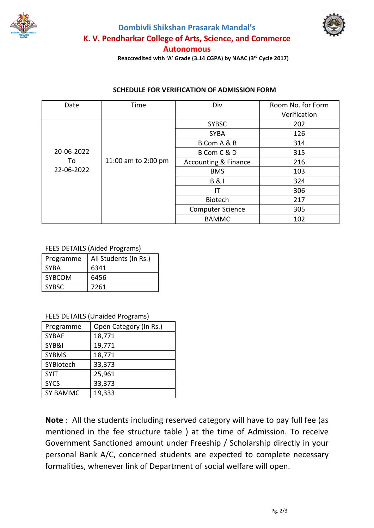





**Autonomous**

 **Reaccredited with 'A' Grade (3.14 CGPA) by NAAC (3rd Cycle 2017)**

# **SCHEDULE FOR VERIFICATION OF ADMISSION FORM**

| Date                           | Time                | Div                             | Room No. for Form |
|--------------------------------|---------------------|---------------------------------|-------------------|
|                                |                     |                                 | Verification      |
| 20-06-2022<br>To<br>22-06-2022 | 11:00 am to 2:00 pm | <b>SYBSC</b>                    | 202               |
|                                |                     | <b>SYBA</b>                     | 126               |
|                                |                     | B Com A & B                     | 314               |
|                                |                     | B Com C & D                     | 315               |
|                                |                     | <b>Accounting &amp; Finance</b> | 216               |
|                                |                     | <b>BMS</b>                      | 103               |
|                                |                     | <b>B&amp;I</b>                  | 324               |
|                                |                     | ΙT                              | 306               |
|                                |                     | <b>Biotech</b>                  | 217               |
|                                |                     | <b>Computer Science</b>         | 305               |
|                                |                     | <b>BAMMC</b>                    | 102               |

## FEES DETAILS (Aided Programs)

| Programme    | All Students (In Rs.) |
|--------------|-----------------------|
| <b>SYBA</b>  | 6341                  |
| SYBCOM       | 6456                  |
| <b>SYBSC</b> | 7261                  |

## FEES DETAILS (Unaided Programs)

| Programme       | Open Category (In Rs.) |
|-----------------|------------------------|
| <b>SYBAF</b>    | 18,771                 |
| SYB&I           | 19,771                 |
| <b>SYBMS</b>    | 18,771                 |
| SYBiotech       | 33,373                 |
| <b>SYIT</b>     | 25,961                 |
| <b>SYCS</b>     | 33,373                 |
| <b>SY BAMMC</b> | 19,333                 |

**Note** : All the students including reserved category will have to pay full fee (as mentioned in the fee structure table ) at the time of Admission. To receive Government Sanctioned amount under Freeship / Scholarship directly in your personal Bank A/C, concerned students are expected to complete necessary formalities, whenever link of Department of social welfare will open.